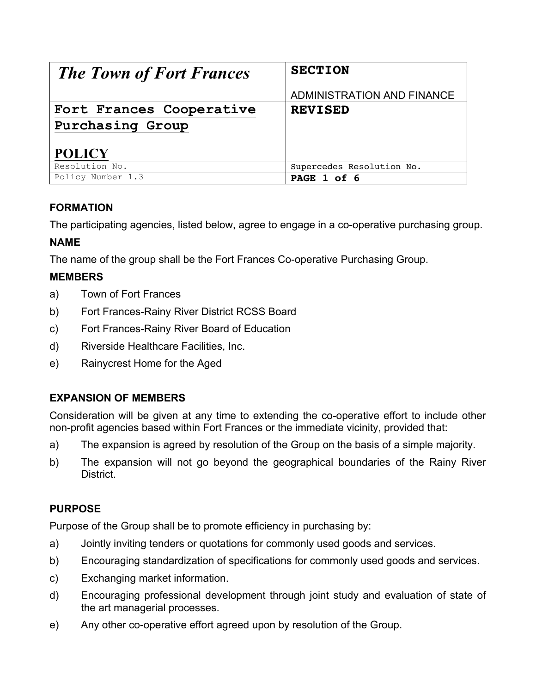| <b>The Town of Fort Frances</b> | <b>SECTION</b>             |
|---------------------------------|----------------------------|
|                                 | ADMINISTRATION AND FINANCE |
| Fort Frances Cooperative        | <b>REVISED</b>             |
| Purchasing Group                |                            |
| <b>POLICY</b>                   |                            |
| Resolution No.                  | Supercedes Resolution No.  |
| Policy Number 1.3               | PAGE 1 of 6                |

# **FORMATION**

The participating agencies, listed below, agree to engage in a co-operative purchasing group.

## **NAME**

The name of the group shall be the Fort Frances Co-operative Purchasing Group.

# **MEMBERS**

- a) Town of Fort Frances
- b) Fort Frances-Rainy River District RCSS Board
- c) Fort Frances-Rainy River Board of Education
- d) Riverside Healthcare Facilities, Inc.
- e) Rainycrest Home for the Aged

## **EXPANSION OF MEMBERS**

Consideration will be given at any time to extending the co-operative effort to include other non-profit agencies based within Fort Frances or the immediate vicinity, provided that:

- a) The expansion is agreed by resolution of the Group on the basis of a simple majority.
- b) The expansion will not go beyond the geographical boundaries of the Rainy River **District**

## **PURPOSE**

Purpose of the Group shall be to promote efficiency in purchasing by:

- a) Jointly inviting tenders or quotations for commonly used goods and services.
- b) Encouraging standardization of specifications for commonly used goods and services.
- c) Exchanging market information.
- d) Encouraging professional development through joint study and evaluation of state of the art managerial processes.
- e) Any other co-operative effort agreed upon by resolution of the Group.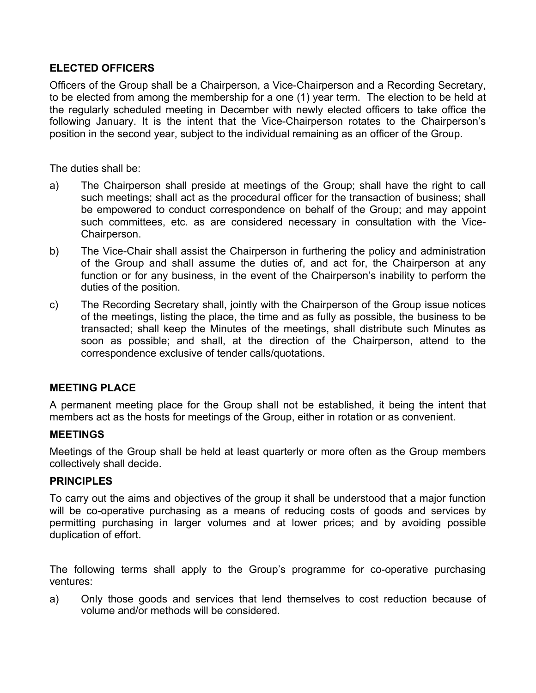## **ELECTED OFFICERS**

Officers of the Group shall be a Chairperson, a Vice-Chairperson and a Recording Secretary, to be elected from among the membership for a one (1) year term. The election to be held at the regularly scheduled meeting in December with newly elected officers to take office the following January. It is the intent that the Vice-Chairperson rotates to the Chairperson's position in the second year, subject to the individual remaining as an officer of the Group.

The duties shall be:

- a) The Chairperson shall preside at meetings of the Group; shall have the right to call such meetings; shall act as the procedural officer for the transaction of business; shall be empowered to conduct correspondence on behalf of the Group; and may appoint such committees, etc. as are considered necessary in consultation with the Vice-Chairperson.
- b) The Vice-Chair shall assist the Chairperson in furthering the policy and administration of the Group and shall assume the duties of, and act for, the Chairperson at any function or for any business, in the event of the Chairperson's inability to perform the duties of the position.
- c) The Recording Secretary shall, jointly with the Chairperson of the Group issue notices of the meetings, listing the place, the time and as fully as possible, the business to be transacted; shall keep the Minutes of the meetings, shall distribute such Minutes as soon as possible; and shall, at the direction of the Chairperson, attend to the correspondence exclusive of tender calls/quotations.

#### **MEETING PLACE**

A permanent meeting place for the Group shall not be established, it being the intent that members act as the hosts for meetings of the Group, either in rotation or as convenient.

#### **MEETINGS**

Meetings of the Group shall be held at least quarterly or more often as the Group members collectively shall decide.

#### **PRINCIPLES**

To carry out the aims and objectives of the group it shall be understood that a major function will be co-operative purchasing as a means of reducing costs of goods and services by permitting purchasing in larger volumes and at lower prices; and by avoiding possible duplication of effort.

The following terms shall apply to the Group's programme for co-operative purchasing ventures:

a) Only those goods and services that lend themselves to cost reduction because of volume and/or methods will be considered.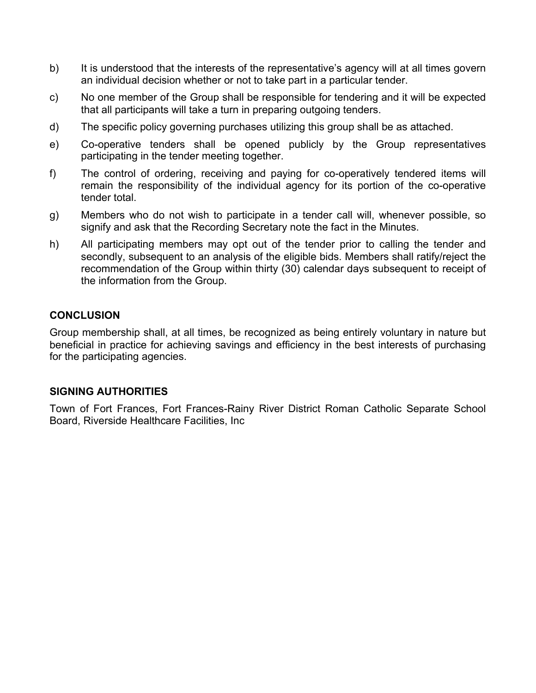- b) It is understood that the interests of the representative's agency will at all times govern an individual decision whether or not to take part in a particular tender.
- c) No one member of the Group shall be responsible for tendering and it will be expected that all participants will take a turn in preparing outgoing tenders.
- d) The specific policy governing purchases utilizing this group shall be as attached.
- e) Co-operative tenders shall be opened publicly by the Group representatives participating in the tender meeting together.
- f) The control of ordering, receiving and paying for co-operatively tendered items will remain the responsibility of the individual agency for its portion of the co-operative tender total.
- g) Members who do not wish to participate in a tender call will, whenever possible, so signify and ask that the Recording Secretary note the fact in the Minutes.
- h) All participating members may opt out of the tender prior to calling the tender and secondly, subsequent to an analysis of the eligible bids. Members shall ratify/reject the recommendation of the Group within thirty (30) calendar days subsequent to receipt of the information from the Group.

### **CONCLUSION**

Group membership shall, at all times, be recognized as being entirely voluntary in nature but beneficial in practice for achieving savings and efficiency in the best interests of purchasing for the participating agencies.

#### **SIGNING AUTHORITIES**

Town of Fort Frances, Fort Frances-Rainy River District Roman Catholic Separate School Board, Riverside Healthcare Facilities, Inc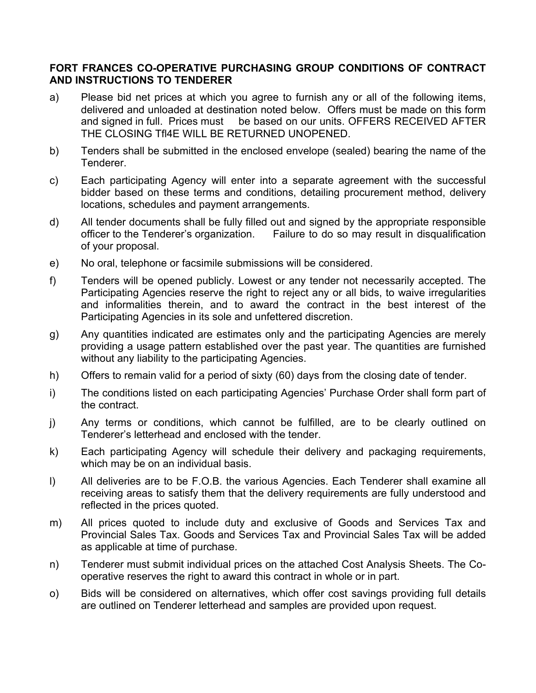### **FORT FRANCES CO-OPERATIVE PURCHASING GROUP CONDITIONS OF CONTRACT AND INSTRUCTIONS TO TENDERER**

- a) Please bid net prices at which you agree to furnish any or all of the following items, delivered and unloaded at destination noted below. Offers must be made on this form and signed in full. Prices must be based on our units. OFFERS RECEIVED AFTER THE CLOSING Tfl4E WILL BE RETURNED UNOPENED.
- b) Tenders shall be submitted in the enclosed envelope (sealed) bearing the name of the Tenderer.
- c) Each participating Agency will enter into a separate agreement with the successful bidder based on these terms and conditions, detailing procurement method, delivery locations, schedules and payment arrangements.
- d) All tender documents shall be fully filled out and signed by the appropriate responsible officer to the Tenderer's organization. Failure to do so may result in disqualification of your proposal.
- e) No oral, telephone or facsimile submissions will be considered.
- f) Tenders will be opened publicly. Lowest or any tender not necessarily accepted. The Participating Agencies reserve the right to reject any or all bids, to waive irregularities and informalities therein, and to award the contract in the best interest of the Participating Agencies in its sole and unfettered discretion.
- g) Any quantities indicated are estimates only and the participating Agencies are merely providing a usage pattern established over the past year. The quantities are furnished without any liability to the participating Agencies.
- h) Offers to remain valid for a period of sixty (60) days from the closing date of tender.
- i) The conditions listed on each participating Agencies' Purchase Order shall form part of the contract.
- j) Any terms or conditions, which cannot be fulfilled, are to be clearly outlined on Tenderer's letterhead and enclosed with the tender.
- k) Each participating Agency will schedule their delivery and packaging requirements, which may be on an individual basis.
- l) All deliveries are to be F.O.B. the various Agencies. Each Tenderer shall examine all receiving areas to satisfy them that the delivery requirements are fully understood and reflected in the prices quoted.
- m) All prices quoted to include duty and exclusive of Goods and Services Tax and Provincial Sales Tax. Goods and Services Tax and Provincial Sales Tax will be added as applicable at time of purchase.
- n) Tenderer must submit individual prices on the attached Cost Analysis Sheets. The Cooperative reserves the right to award this contract in whole or in part.
- o) Bids will be considered on alternatives, which offer cost savings providing full details are outlined on Tenderer letterhead and samples are provided upon request.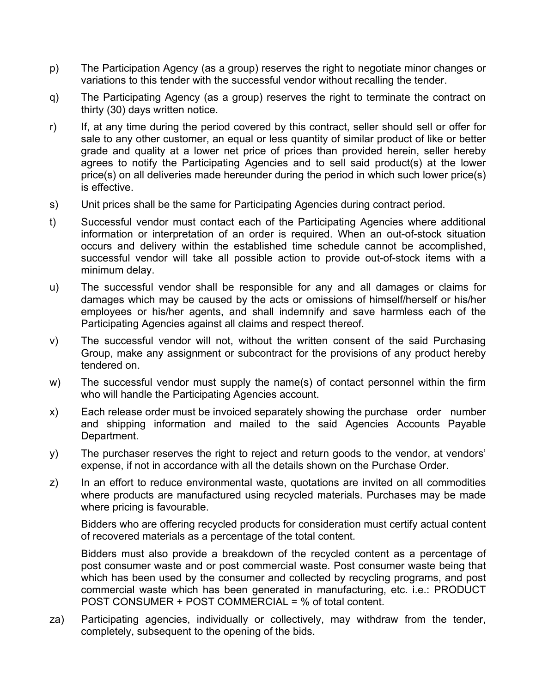- p) The Participation Agency (as a group) reserves the right to negotiate minor changes or variations to this tender with the successful vendor without recalling the tender.
- q) The Participating Agency (as a group) reserves the right to terminate the contract on thirty (30) days written notice.
- r) If, at any time during the period covered by this contract, seller should sell or offer for sale to any other customer, an equal or less quantity of similar product of like or better grade and quality at a lower net price of prices than provided herein, seller hereby agrees to notify the Participating Agencies and to sell said product(s) at the lower price(s) on all deliveries made hereunder during the period in which such lower price(s) is effective.
- s) Unit prices shall be the same for Participating Agencies during contract period.
- t) Successful vendor must contact each of the Participating Agencies where additional information or interpretation of an order is required. When an out-of-stock situation occurs and delivery within the established time schedule cannot be accomplished, successful vendor will take all possible action to provide out-of-stock items with a minimum delay.
- u) The successful vendor shall be responsible for any and all damages or claims for damages which may be caused by the acts or omissions of himself/herself or his/her employees or his/her agents, and shall indemnify and save harmless each of the Participating Agencies against all claims and respect thereof.
- v) The successful vendor will not, without the written consent of the said Purchasing Group, make any assignment or subcontract for the provisions of any product hereby tendered on.
- w) The successful vendor must supply the name(s) of contact personnel within the firm who will handle the Participating Agencies account.
- x) Each release order must be invoiced separately showing the purchase order number and shipping information and mailed to the said Agencies Accounts Payable Department.
- y) The purchaser reserves the right to reject and return goods to the vendor, at vendors' expense, if not in accordance with all the details shown on the Purchase Order.
- z) In an effort to reduce environmental waste, quotations are invited on all commodities where products are manufactured using recycled materials. Purchases may be made where pricing is favourable.

Bidders who are offering recycled products for consideration must certify actual content of recovered materials as a percentage of the total content.

Bidders must also provide a breakdown of the recycled content as a percentage of post consumer waste and or post commercial waste. Post consumer waste being that which has been used by the consumer and collected by recycling programs, and post commercial waste which has been generated in manufacturing, etc. i.e.: PRODUCT POST CONSUMER + POST COMMERCIAL = % of total content.

za) Participating agencies, individually or collectively, may withdraw from the tender, completely, subsequent to the opening of the bids.